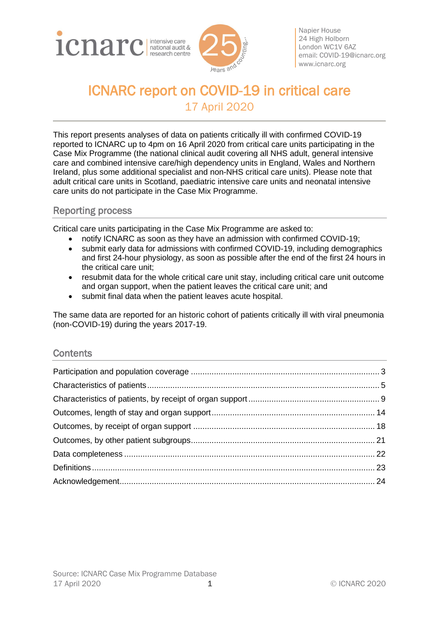



Napier House 24 High Holborn London WC1V 6AZ email: [COVID-19@icnarc.org](mailto:COVID-19@icnarc.org) [www.icnarc.org](http://www.icnarc.org/)

# ICNARC report on COVID-19 in critical care 17 April 2020

This report presents analyses of data on patients critically ill with confirmed COVID-19 reported to ICNARC up to 4pm on 16 April 2020 from critical care units participating in the Case Mix Programme (the national clinical audit covering all NHS adult, general intensive care and combined intensive care/high dependency units in England, Wales and Northern Ireland, plus some additional specialist and non-NHS critical care units). Please note that adult critical care units in Scotland, paediatric intensive care units and neonatal intensive care units do not participate in the Case Mix Programme.

### Reporting process

Critical care units participating in the Case Mix Programme are asked to:

- notify ICNARC as soon as they have an admission with confirmed COVID-19;
- submit early data for admissions with confirmed COVID-19, including demographics and first 24-hour physiology, as soon as possible after the end of the first 24 hours in the critical care unit;
- resubmit data for the whole critical care unit stay, including critical care unit outcome and organ support, when the patient leaves the critical care unit; and
- submit final data when the patient leaves acute hospital.

The same data are reported for an historic cohort of patients critically ill with viral pneumonia (non-COVID-19) during the years 2017-19.

### **Contents**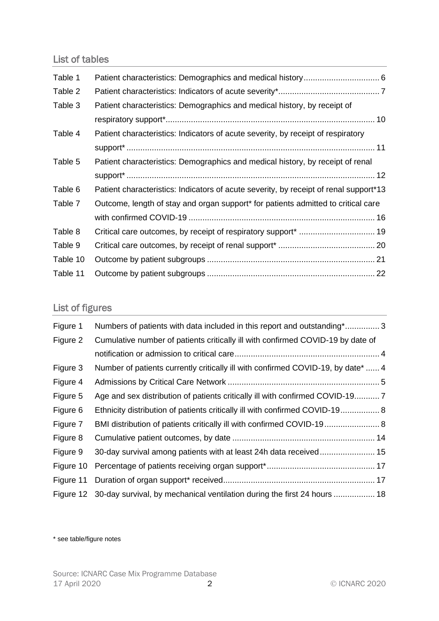## List of tables

| Table 1  |                                                                                               |  |
|----------|-----------------------------------------------------------------------------------------------|--|
| Table 2  |                                                                                               |  |
| Table 3  | Patient characteristics: Demographics and medical history, by receipt of                      |  |
|          |                                                                                               |  |
| Table 4  | Patient characteristics: Indicators of acute severity, by receipt of respiratory              |  |
|          |                                                                                               |  |
| Table 5  | Patient characteristics: Demographics and medical history, by receipt of renal                |  |
|          |                                                                                               |  |
| Table 6  | Patient characteristics: Indicators of acute severity, by receipt of renal support*13         |  |
| Table 7  | Outcome, length of stay and organ support <sup>*</sup> for patients admitted to critical care |  |
|          |                                                                                               |  |
| Table 8  |                                                                                               |  |
| Table 9  |                                                                                               |  |
| Table 10 |                                                                                               |  |
| Table 11 |                                                                                               |  |

# List of figures

| Figure 1  | Numbers of patients with data included in this report and outstanding*3            |
|-----------|------------------------------------------------------------------------------------|
| Figure 2  | Cumulative number of patients critically ill with confirmed COVID-19 by date of    |
|           |                                                                                    |
| Figure 3  | Number of patients currently critically ill with confirmed COVID-19, by date*  4   |
| Figure 4  |                                                                                    |
| Figure 5  |                                                                                    |
| Figure 6  | Ethnicity distribution of patients critically ill with confirmed COVID-19 8        |
| Figure 7  |                                                                                    |
| Figure 8  |                                                                                    |
| Figure 9  | 30-day survival among patients with at least 24h data received 15                  |
| Figure 10 |                                                                                    |
| Figure 11 |                                                                                    |
|           | Figure 12 30-day survival, by mechanical ventilation during the first 24 hours  18 |

\* see table/figure notes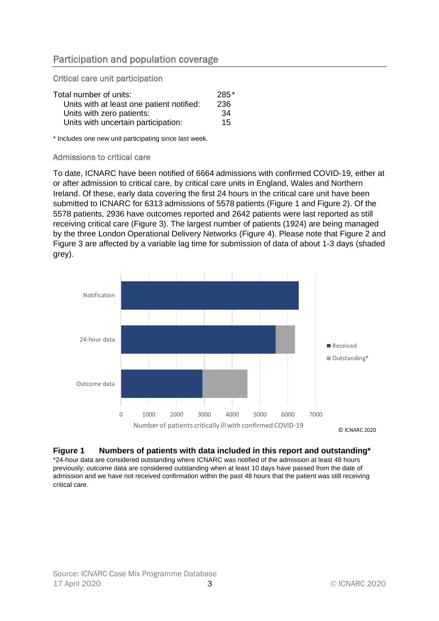### <span id="page-2-0"></span>Participation and population coverage

Critical care unit participation

| Total number of units:                    | 285* |
|-------------------------------------------|------|
| Units with at least one patient notified: | 236  |
| Units with zero patients:                 | 34   |
| Units with uncertain participation:       | 15   |

\* Includes one new unit participating since last week.

#### Admissions to critical care

To date, ICNARC have been notified of 6664 admissions with confirmed COVID-19, either at or after admission to critical care, by critical care units in England, Wales and Northern Ireland. Of these, early data covering the first 24 hours in the critical care unit have been submitted to ICNARC for 6313 admissions of 5578 patients [\(Figure 1](#page-2-1) and [Figure 2\)](#page-3-0). Of the 5578 patients, 2936 have outcomes reported and 2642 patients were last reported as still receiving critical care [\(Figure 3\)](#page-3-1). The largest number of patients (1924) are being managed by the three London Operational Delivery Networks [\(Figure 4\)](#page-4-1). Please note that [Figure 2](#page-3-0) and [Figure 3](#page-3-1) are affected by a variable lag time for submission of data of about 1-3 days (shaded grey).



### <span id="page-2-1"></span>**Figure 1 Numbers of patients with data included in this report and outstanding\***

\*24-hour data are considered outstanding where ICNARC was notified of the admission at least 48 hours previously; outcome data are considered outstanding when at least 10 days have passed from the date of admission and we have not received confirmation within the past 48 hours that the patient was still receiving critical care.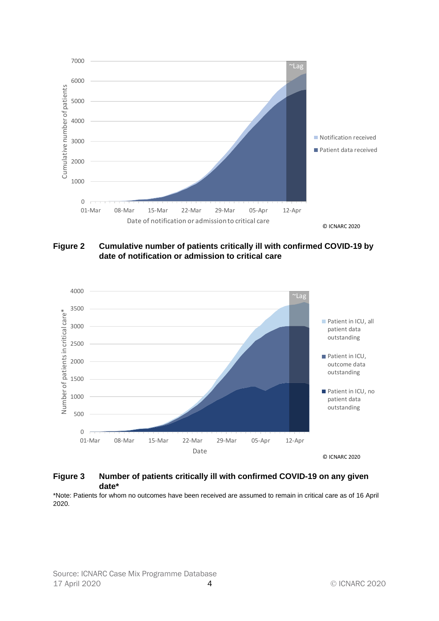

<span id="page-3-0"></span>**Figure 2 Cumulative number of patients critically ill with confirmed COVID-19 by date of notification or admission to critical care**



#### <span id="page-3-1"></span>**Figure 3 Number of patients critically ill with confirmed COVID-19 on any given date\***

\*Note: Patients for whom no outcomes have been received are assumed to remain in critical care as of 16 April 2020.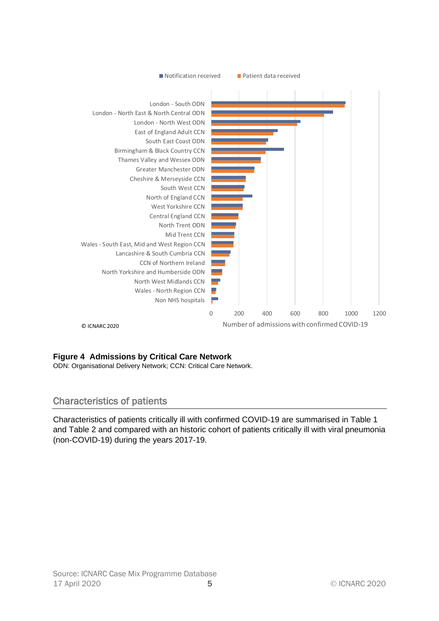

### <span id="page-4-1"></span>**Figure 4 Admissions by Critical Care Network**

ODN: Organisational Delivery Network; CCN: Critical Care Network.

### <span id="page-4-0"></span>Characteristics of patients

Characteristics of patients critically ill with confirmed COVID-19 are summarised in [Table 1](#page-5-0) and [Table 2](#page-6-0) and compared with an historic cohort of patients critically ill with viral pneumonia (non-COVID-19) during the years 2017-19.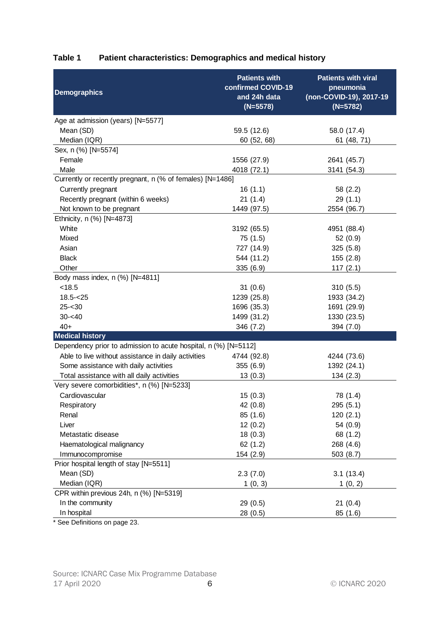<span id="page-5-0"></span>

| Table 1<br>Patient characteristics: Demographics and medical history |  |
|----------------------------------------------------------------------|--|
|----------------------------------------------------------------------|--|

| <b>Demographics</b>                                             | <b>Patients with</b><br>confirmed COVID-19<br>and 24h data<br>$(N=5578)$ | <b>Patients with viral</b><br>pneumonia<br>(non-COVID-19), 2017-19<br>$(N=5782)$ |
|-----------------------------------------------------------------|--------------------------------------------------------------------------|----------------------------------------------------------------------------------|
| Age at admission (years) [N=5577]                               |                                                                          |                                                                                  |
| Mean (SD)                                                       | 59.5 (12.6)                                                              | 58.0 (17.4)                                                                      |
| Median (IQR)                                                    | 60 (52, 68)                                                              | 61 (48, 71)                                                                      |
| Sex, n (%) [N=5574]                                             |                                                                          |                                                                                  |
| Female                                                          | 1556 (27.9)                                                              | 2641 (45.7)                                                                      |
| Male                                                            | 4018 (72.1)                                                              | 3141 (54.3)                                                                      |
| Currently or recently pregnant, n (% of females) [N=1486]       |                                                                          |                                                                                  |
| Currently pregnant                                              | 16(1.1)                                                                  | 58 (2.2)                                                                         |
| Recently pregnant (within 6 weeks)                              | 21(1.4)                                                                  | 29(1.1)                                                                          |
| Not known to be pregnant                                        | 1449 (97.5)                                                              | 2554 (96.7)                                                                      |
| Ethnicity, n (%) [N=4873]                                       |                                                                          |                                                                                  |
| White                                                           | 3192 (65.5)                                                              | 4951 (88.4)                                                                      |
| Mixed                                                           | 75 (1.5)                                                                 | 52(0.9)                                                                          |
| Asian                                                           | 727 (14.9)                                                               | 325(5.8)                                                                         |
| <b>Black</b>                                                    | 544 (11.2)                                                               | 155(2.8)                                                                         |
| Other                                                           | 335 (6.9)                                                                | 117(2.1)                                                                         |
| Body mass index, n (%) [N=4811]                                 |                                                                          |                                                                                  |
| < 18.5                                                          | 31(0.6)                                                                  | 310(5.5)                                                                         |
| $18.5 - 25$                                                     | 1239 (25.8)                                                              | 1933 (34.2)                                                                      |
| $25 - 30$                                                       | 1696 (35.3)                                                              | 1691 (29.9)                                                                      |
| $30 - 40$                                                       | 1499 (31.2)                                                              | 1330 (23.5)                                                                      |
| $40+$                                                           | 346 (7.2)                                                                | 394 (7.0)                                                                        |
| <b>Medical history</b>                                          |                                                                          |                                                                                  |
| Dependency prior to admission to acute hospital, n (%) [N=5112] |                                                                          |                                                                                  |
| Able to live without assistance in daily activities             | 4744 (92.8)                                                              | 4244 (73.6)                                                                      |
| Some assistance with daily activities                           | 355 (6.9)                                                                | 1392 (24.1)                                                                      |
| Total assistance with all daily activities                      | 13(0.3)                                                                  | 134(2.3)                                                                         |
| Very severe comorbidities*, n (%) [N=5233]                      |                                                                          |                                                                                  |
| Cardiovascular                                                  | 15(0.3)                                                                  | 78 (1.4)                                                                         |
| Respiratory                                                     | 42 (0.8)                                                                 | 295(5.1)                                                                         |
| Renal                                                           | 85 (1.6)                                                                 | 120(2.1)                                                                         |
| Liver                                                           | 12(0.2)                                                                  | 54 (0.9)                                                                         |
| Metastatic disease                                              | 18(0.3)                                                                  | 68 (1.2)                                                                         |
| Haematological malignancy                                       | 62(1.2)                                                                  | 268 (4.6)                                                                        |
| Immunocompromise                                                | 154 (2.9)                                                                | 503(8.7)                                                                         |
| Prior hospital length of stay [N=5511]                          |                                                                          |                                                                                  |
| Mean (SD)                                                       | 2.3(7.0)                                                                 | 3.1(13.4)                                                                        |
| Median (IQR)                                                    | 1(0, 3)                                                                  | 1(0, 2)                                                                          |
| CPR within previous 24h, n (%) [N=5319]                         |                                                                          |                                                                                  |
| In the community                                                | 29 (0.5)                                                                 | 21(0.4)                                                                          |
| In hospital                                                     | 28 (0.5)                                                                 | 85 (1.6)                                                                         |

\* See Definitions on page [23.](#page-22-0)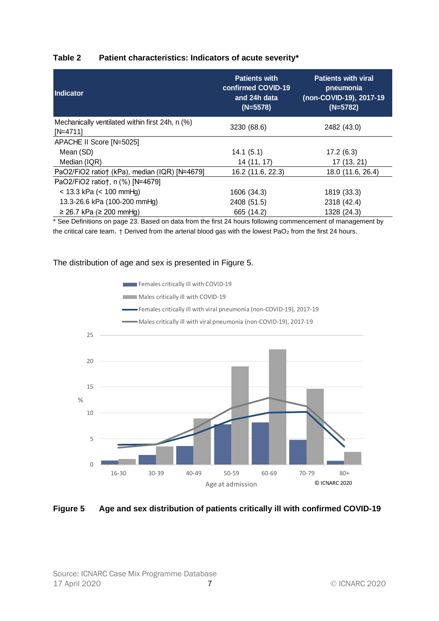#### <span id="page-6-0"></span>**Table 2 Patient characteristics: Indicators of acute severity\***

| Indicator                                                     | <b>Patients with</b><br>confirmed COVID-19<br>and 24h data<br>$(N=5578)$ | <b>Patients with viral</b><br>pneumonia<br>(non-COVID-19), 2017-19<br>$(N=5782)$ |
|---------------------------------------------------------------|--------------------------------------------------------------------------|----------------------------------------------------------------------------------|
| Mechanically ventilated within first 24h, n (%)<br>$[N=4711]$ | 3230 (68.6)                                                              | 2482 (43.0)                                                                      |
| APACHE II Score [N=5025]                                      |                                                                          |                                                                                  |
| Mean (SD)                                                     | 14.1(5.1)                                                                | 17.2(6.3)                                                                        |
| Median (IQR)                                                  | 14 (11, 17)                                                              | 17 (13, 21)                                                                      |
| PaO2/FiO2 ratio† (kPa), median (IQR) [N=4679]                 | 16.2 (11.6, 22.3)                                                        | 18.0 (11.6, 26.4)                                                                |
| PaO2/FiO2 ratio†, n (%) [N=4679]                              |                                                                          |                                                                                  |
| $<$ 13.3 kPa ( $<$ 100 mmHg)                                  | 1606 (34.3)                                                              | 1819 (33.3)                                                                      |
| 13.3-26.6 kPa (100-200 mmHg)                                  | 2408 (51.5)                                                              | 2318 (42.4)                                                                      |
| $≥ 26.7$ kPa (≥ 200 mmHg)                                     | 665 (14.2)                                                               | 1328 (24.3)                                                                      |

\* See Definitions on page [23.](#page-22-0) Based on data from the first 24 hours following commencement of management by the critical care team.  $\dagger$  Derived from the arterial blood gas with the lowest PaO<sub>2</sub> from the first 24 hours.

#### The distribution of age and sex is presented in [Figure 5.](#page-6-1)



#### <span id="page-6-1"></span>**Figure 5 Age and sex distribution of patients critically ill with confirmed COVID-19**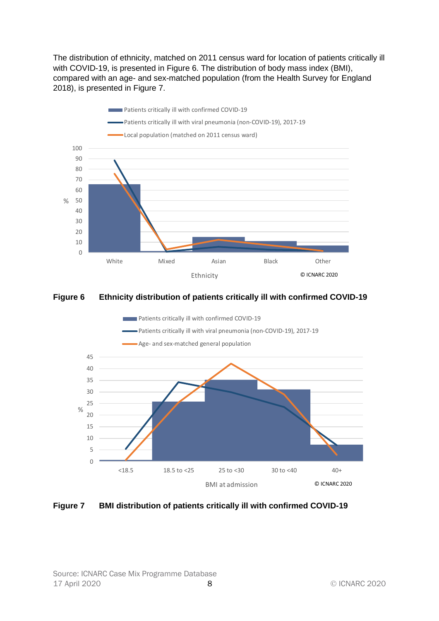The distribution of ethnicity, matched on 2011 census ward for location of patients critically ill with COVID-19, is presented in [Figure 6.](#page-7-0) The distribution of body mass index (BMI), compared with an age- and sex-matched population (from the Health Survey for England 2018), is presented in [Figure 7.](#page-7-1)



### <span id="page-7-0"></span>**Figure 6 Ethnicity distribution of patients critically ill with confirmed COVID-19**



#### <span id="page-7-1"></span>**Figure 7 BMI distribution of patients critically ill with confirmed COVID-19**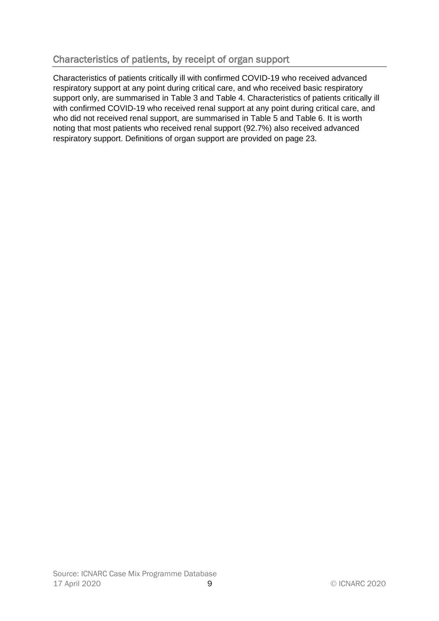# <span id="page-8-0"></span>Characteristics of patients, by receipt of organ support

Characteristics of patients critically ill with confirmed COVID-19 who received advanced respiratory support at any point during critical care, and who received basic respiratory support only, are summarised in [Table 3](#page-9-0) and [Table 4.](#page-10-0) Characteristics of patients critically ill with confirmed COVID-19 who received renal support at any point during critical care, and who did not received renal support, are summarised in [Table 5](#page-11-0) and [Table 6.](#page-12-0) It is worth noting that most patients who received renal support (92.7%) also received advanced respiratory support. Definitions of organ support are provided on page [23.](#page-22-0)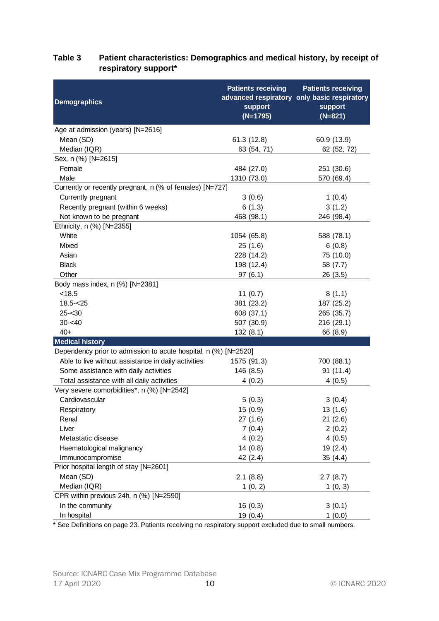### <span id="page-9-0"></span>**Table 3 Patient characteristics: Demographics and medical history, by receipt of respiratory support\***

| <b>Demographics</b>                                             | <b>Patients receiving</b><br>support<br>$(N=1795)$ | <b>Patients receiving</b><br>advanced respiratory only basic respiratory<br>support<br>$(N=821)$ |  |
|-----------------------------------------------------------------|----------------------------------------------------|--------------------------------------------------------------------------------------------------|--|
| Age at admission (years) [N=2616]                               |                                                    |                                                                                                  |  |
| Mean (SD)                                                       | 61.3 (12.8)                                        | 60.9 (13.9)                                                                                      |  |
| Median (IQR)                                                    | 63 (54, 71)                                        | 62 (52, 72)                                                                                      |  |
| Sex, n (%) [N=2615]                                             |                                                    |                                                                                                  |  |
| Female                                                          | 484 (27.0)                                         | 251 (30.6)                                                                                       |  |
| Male                                                            | 1310 (73.0)                                        | 570 (69.4)                                                                                       |  |
| Currently or recently pregnant, n (% of females) [N=727]        |                                                    |                                                                                                  |  |
| Currently pregnant                                              | 3(0.6)                                             | 1(0.4)                                                                                           |  |
| Recently pregnant (within 6 weeks)                              | 6(1.3)                                             | 3(1.2)                                                                                           |  |
| Not known to be pregnant                                        | 468 (98.1)                                         | 246 (98.4)                                                                                       |  |
| Ethnicity, n (%) [N=2355]                                       |                                                    |                                                                                                  |  |
| White                                                           | 1054 (65.8)                                        | 588 (78.1)                                                                                       |  |
| Mixed                                                           | 25(1.6)                                            | 6(0.8)                                                                                           |  |
| Asian                                                           | 228 (14.2)                                         | 75 (10.0)                                                                                        |  |
| <b>Black</b>                                                    | 198 (12.4)                                         | 58 (7.7)                                                                                         |  |
| Other                                                           | 97(6.1)                                            | 26 (3.5)                                                                                         |  |
| Body mass index, n (%) [N=2381]                                 |                                                    |                                                                                                  |  |
| < 18.5                                                          | 11 $(0.7)$                                         | 8(1.1)                                                                                           |  |
| $18.5 - 25$                                                     | 381 (23.2)                                         | 187 (25.2)                                                                                       |  |
| $25 - 30$                                                       | 608 (37.1)                                         | 265 (35.7)                                                                                       |  |
| $30 - 40$                                                       | 507 (30.9)                                         | 216 (29.1)                                                                                       |  |
| $40+$                                                           | 132(8.1)                                           | 66 (8.9)                                                                                         |  |
| <b>Medical history</b>                                          |                                                    |                                                                                                  |  |
| Dependency prior to admission to acute hospital, n (%) [N=2520] |                                                    |                                                                                                  |  |
| Able to live without assistance in daily activities             | 1575 (91.3)                                        | 700 (88.1)                                                                                       |  |
| Some assistance with daily activities                           | 146 (8.5)                                          | 91 (11.4)                                                                                        |  |
| Total assistance with all daily activities                      | 4(0.2)                                             | 4(0.5)                                                                                           |  |
| Very severe comorbidities*, n (%) [N=2542]                      |                                                    |                                                                                                  |  |
| Cardiovascular                                                  | 5(0.3)                                             | 3(0.4)                                                                                           |  |
| Respiratory                                                     | 15 (0.9)                                           | 13(1.6)                                                                                          |  |
| Renal                                                           | 27(1.6)                                            | 21(2.6)                                                                                          |  |
| Liver                                                           | 7(0.4)                                             | 2(0.2)                                                                                           |  |
| Metastatic disease                                              | 4(0.2)                                             | 4(0.5)                                                                                           |  |
| Haematological malignancy                                       | 14(0.8)                                            | 19(2.4)                                                                                          |  |
| Immunocompromise                                                | 42 (2.4)                                           | 35(4.4)                                                                                          |  |
| Prior hospital length of stay [N=2601]                          |                                                    |                                                                                                  |  |
| Mean (SD)                                                       | 2.1(8.8)                                           | 2.7(8.7)                                                                                         |  |
| Median (IQR)                                                    | 1(0, 2)                                            | 1(0, 3)                                                                                          |  |
| CPR within previous 24h, n (%) [N=2590]                         |                                                    |                                                                                                  |  |
| In the community                                                | 16(0.3)                                            | 3(0.1)                                                                                           |  |
| In hospital                                                     | 19(0.4)                                            | 1(0.0)                                                                                           |  |

\* See Definitions on page [23.](#page-22-0) Patients receiving no respiratory support excluded due to small numbers.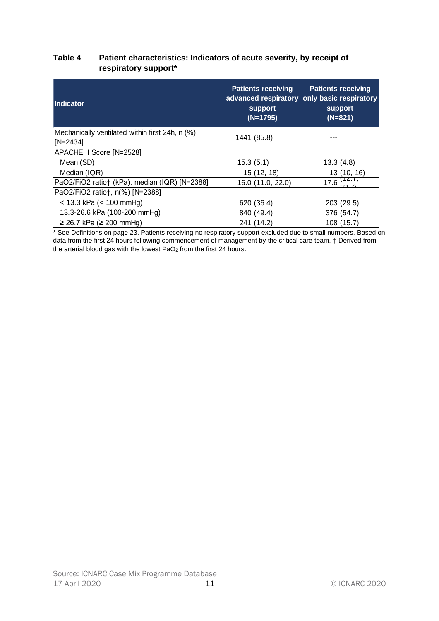#### <span id="page-10-0"></span>**Table 4 Patient characteristics: Indicators of acute severity, by receipt of respiratory support\***

| Indicator                                                     | <b>Patients receiving</b><br><b>Patients receiving</b><br>advanced respiratory only basic respiratory<br>support<br>support<br>$(N=1795)$<br>$(N=821)$ |                                                  |
|---------------------------------------------------------------|--------------------------------------------------------------------------------------------------------------------------------------------------------|--------------------------------------------------|
| Mechanically ventilated within first 24h, n (%)<br>$[N=2434]$ | 1441 (85.8)                                                                                                                                            |                                                  |
| APACHE II Score [N=2528]                                      |                                                                                                                                                        |                                                  |
| Mean (SD)                                                     | 15.3(5.1)                                                                                                                                              | 13.3(4.8)                                        |
| Median (IQR)                                                  | 15 (12, 18)                                                                                                                                            | 13 (10, 16)                                      |
| PaO2/FiO2 ratio† (kPa), median (IQR) [N=2388]                 | 16.0(11.0, 22.0)                                                                                                                                       | $17.6$ <sup><math>17.7</math></sup><br>$22 - 71$ |
| PaO2/FiO2 ratio†, n(%) [N=2388]                               |                                                                                                                                                        |                                                  |
| $<$ 13.3 kPa ( $<$ 100 mmHg)                                  | 620 (36.4)                                                                                                                                             | 203 (29.5)                                       |
| 13.3-26.6 kPa (100-200 mmHg)                                  | 840 (49.4)                                                                                                                                             | 376 (54.7)                                       |
| $≥ 26.7$ kPa (≥ 200 mmHg)                                     | 241 (14.2)                                                                                                                                             | 108 (15.7)                                       |

\* See Definitions on page [23.](#page-22-0) Patients receiving no respiratory support excluded due to small numbers. Based on data from the first 24 hours following commencement of management by the critical care team. † Derived from the arterial blood gas with the lowest  $PaO<sub>2</sub>$  from the first 24 hours.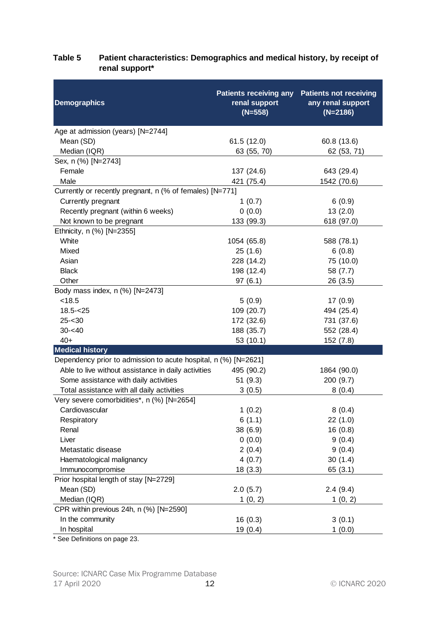| <b>Demographics</b>                                             | <b>Patients receiving any</b><br>renal support<br>$(N=558)$ | <b>Patients not receiving</b><br>any renal support<br>$(N=2186)$ |
|-----------------------------------------------------------------|-------------------------------------------------------------|------------------------------------------------------------------|
| Age at admission (years) [N=2744]                               |                                                             |                                                                  |
| Mean (SD)                                                       | 61.5(12.0)                                                  | 60.8 (13.6)                                                      |
| Median (IQR)                                                    | 63 (55, 70)                                                 | 62 (53, 71)                                                      |
| Sex, n (%) [N=2743]                                             |                                                             |                                                                  |
| Female                                                          | 137 (24.6)                                                  | 643 (29.4)                                                       |
| Male                                                            | 421 (75.4)                                                  | 1542 (70.6)                                                      |
| Currently or recently pregnant, n (% of females) [N=771]        |                                                             |                                                                  |
| Currently pregnant                                              | 1(0.7)                                                      | 6(0.9)                                                           |
| Recently pregnant (within 6 weeks)                              | 0(0.0)                                                      | 13(2.0)                                                          |
| Not known to be pregnant                                        | 133 (99.3)                                                  | 618 (97.0)                                                       |
| Ethnicity, n (%) [N=2355]                                       |                                                             |                                                                  |
| White                                                           | 1054 (65.8)                                                 | 588 (78.1)                                                       |
| Mixed                                                           | 25(1.6)                                                     | 6(0.8)                                                           |
| Asian                                                           | 228 (14.2)                                                  | 75 (10.0)                                                        |
| <b>Black</b>                                                    | 198 (12.4)                                                  | 58 (7.7)                                                         |
| Other                                                           | 97(6.1)                                                     | 26(3.5)                                                          |
| Body mass index, n (%) [N=2473]                                 |                                                             |                                                                  |
| < 18.5                                                          | 5(0.9)                                                      | 17(0.9)                                                          |
| $18.5 - 25$                                                     | 109 (20.7)                                                  | 494 (25.4)                                                       |
| $25 - 30$                                                       | 172 (32.6)                                                  | 731 (37.6)                                                       |
| $30 - 40$                                                       | 188 (35.7)                                                  | 552 (28.4)                                                       |
| $40+$                                                           | 53(10.1)                                                    | 152 (7.8)                                                        |
| <b>Medical history</b>                                          |                                                             |                                                                  |
| Dependency prior to admission to acute hospital, n (%) [N=2621] |                                                             |                                                                  |
| Able to live without assistance in daily activities             | 495 (90.2)                                                  | 1864 (90.0)                                                      |
| Some assistance with daily activities                           | 51(9.3)                                                     | 200(9.7)                                                         |
| Total assistance with all daily activities                      | 3(0.5)                                                      | 8(0.4)                                                           |
| Very severe comorbidities*, n (%) [N=2654]                      |                                                             |                                                                  |
| Cardiovascular                                                  | 1(0.2)                                                      | 8(0.4)                                                           |
| Respiratory                                                     | 6(1.1)                                                      | 22(1.0)                                                          |
| Renal                                                           | 38 (6.9)                                                    | 16(0.8)                                                          |
| Liver                                                           | 0(0.0)                                                      | 9(0.4)                                                           |
| Metastatic disease                                              | 2(0.4)                                                      | 9(0.4)                                                           |
| Haematological malignancy                                       | 4(0.7)                                                      | 30(1.4)                                                          |
| Immunocompromise                                                | 18(3.3)                                                     | 65(3.1)                                                          |
| Prior hospital length of stay [N=2729]                          |                                                             |                                                                  |
| Mean (SD)                                                       | 2.0(5.7)                                                    | 2.4(9.4)                                                         |
| Median (IQR)                                                    | 1(0, 2)                                                     | 1(0, 2)                                                          |
| CPR within previous 24h, n (%) [N=2590]                         |                                                             |                                                                  |
| In the community                                                | 16(0.3)                                                     | 3(0.1)                                                           |
| In hospital                                                     | 19 $(0.4)$                                                  | 1(0.0)                                                           |

### <span id="page-11-0"></span>**Table 5 Patient characteristics: Demographics and medical history, by receipt of renal support\***

\* See Definitions on page [23.](#page-22-0)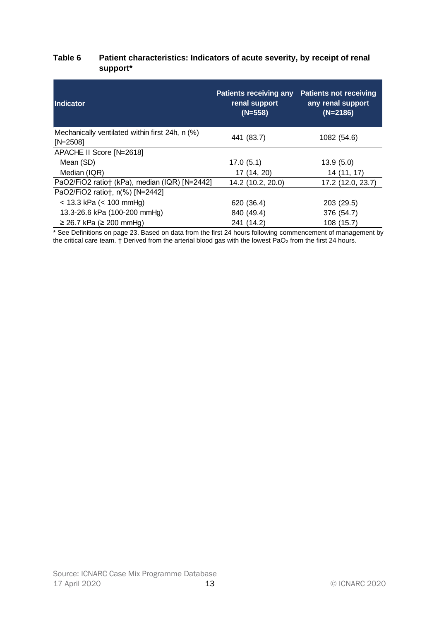### <span id="page-12-0"></span>**Table 6 Patient characteristics: Indicators of acute severity, by receipt of renal support\***

| Indicator                                                     | <b>Patients not receiving</b><br><b>Patients receiving any</b><br>renal support<br>any renal support<br>$(N=2186)$<br>$(N=558)$ |                   |
|---------------------------------------------------------------|---------------------------------------------------------------------------------------------------------------------------------|-------------------|
| Mechanically ventilated within first 24h, n (%)<br>$[N=2508]$ | 441 (83.7)                                                                                                                      | 1082 (54.6)       |
| APACHE II Score [N=2618]                                      |                                                                                                                                 |                   |
| Mean (SD)                                                     | 17.0(5.1)                                                                                                                       | 13.9(5.0)         |
| Median (IQR)                                                  | 17 (14, 20)                                                                                                                     | 14 (11, 17)       |
| PaO2/FiO2 ratio† (kPa), median (IQR) [N=2442]                 | 14.2 (10.2, 20.0)                                                                                                               | 17.2 (12.0, 23.7) |
| PaO2/FiO2 ratio†, n(%) [N=2442]                               |                                                                                                                                 |                   |
| $<$ 13.3 kPa ( $<$ 100 mmHg)                                  | 620 (36.4)                                                                                                                      | 203 (29.5)        |
| 13.3-26.6 kPa (100-200 mmHg)                                  | 840 (49.4)                                                                                                                      | 376 (54.7)        |
| $≥ 26.7$ kPa (≥ 200 mmHg)                                     | 241 (14.2)                                                                                                                      | 108 (15.7)        |

\* See Definitions on page [23.](#page-22-0) Based on data from the first 24 hours following commencement of management by the critical care team.  $\dagger$  Derived from the arterial blood gas with the lowest PaO<sub>2</sub> from the first 24 hours.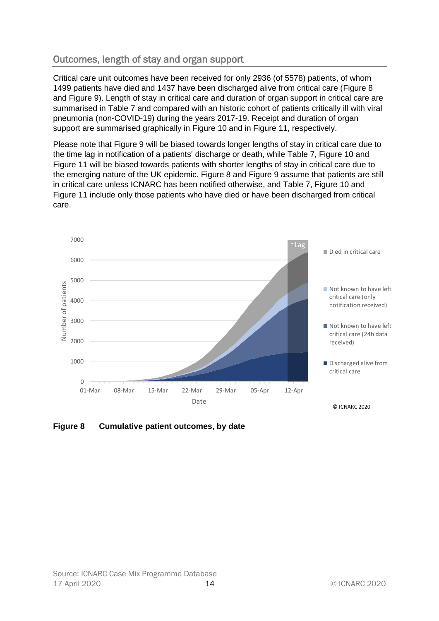# <span id="page-13-0"></span>Outcomes, length of stay and organ support

Critical care unit outcomes have been received for only 2936 (of 5578) patients, of whom 1499 patients have died and 1437 have been discharged alive from critical care [\(Figure 8](#page-13-1) and [Figure 9\)](#page-14-0). Length of stay in critical care and duration of organ support in critical care are summarised in [Table 7](#page-15-0) and compared with an historic cohort of patients critically ill with viral pneumonia (non-COVID-19) during the years 2017-19. Receipt and duration of organ support are summarised graphically in [Figure 10](#page-16-0) and in [Figure 11,](#page-16-1) respectively.

Please note that [Figure 9](#page-14-0) will be biased towards longer lengths of stay in critical care due to the time lag in notification of a patients' discharge or death, while [Table 7,](#page-15-0) [Figure 10](#page-16-0) and [Figure 11](#page-16-1) will be biased towards patients with shorter lengths of stay in critical care due to the emerging nature of the UK epidemic. [Figure 8](#page-13-1) and [Figure 9](#page-14-0) assume that patients are still in critical care unless ICNARC has been notified otherwise, and [Table 7,](#page-15-0) [Figure 10](#page-16-0) and [Figure 11](#page-16-1) include only those patients who have died or have been discharged from critical care.



<span id="page-13-1"></span>**Figure 8 Cumulative patient outcomes, by date**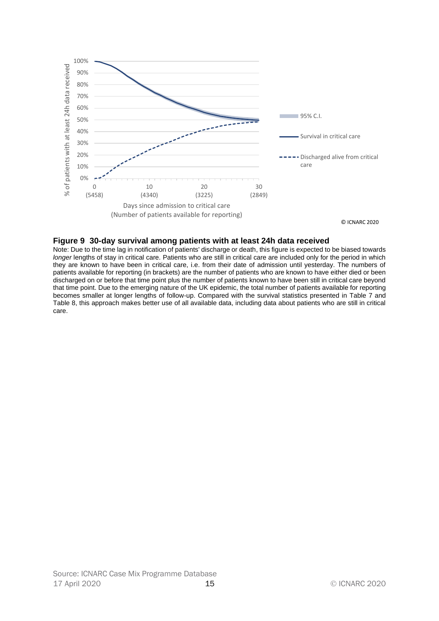

#### <span id="page-14-0"></span>**Figure 9 30-day survival among patients with at least 24h data received**

Note: Due to the time lag in notification of patients' discharge or death, this figure is expected to be biased towards *longer* lengths of stay in critical care. Patients who are still in critical care are included only for the period in which they are known to have been in critical care, i.e. from their date of admission until yesterday. The numbers of patients available for reporting (in brackets) are the number of patients who are known to have either died or been discharged on or before that time point plus the number of patients known to have been still in critical care beyond that time point. Due to the emerging nature of the UK epidemic, the total number of patients available for reporting becomes smaller at longer lengths of follow-up. Compared with the survival statistics presented in [Table 7](#page-15-0) and [Table 8,](#page-18-0) this approach makes better use of all available data, including data about patients who are still in critical care.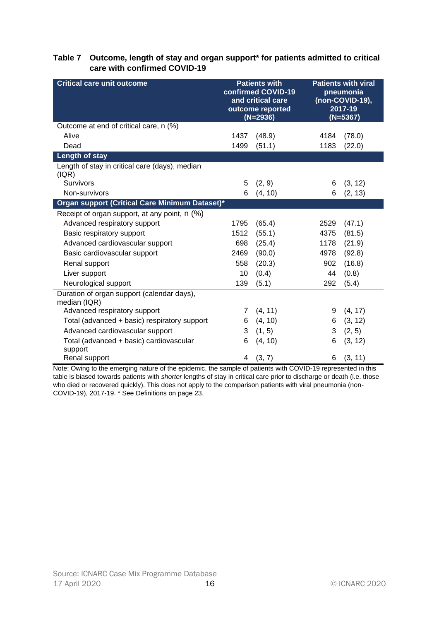#### <span id="page-15-0"></span>**Table 7 Outcome, length of stay and organ support\* for patients admitted to critical care with confirmed COVID-19**

| <b>Critical care unit outcome</b>                          | <b>Patients with</b><br>confirmed COVID-19<br>and critical care<br>outcome reported<br>$(N=2936)$ |         | <b>Patients with viral</b><br>pneumonia<br>(non-COVID-19),<br>2017-19<br>$(N=5367)$ |         |
|------------------------------------------------------------|---------------------------------------------------------------------------------------------------|---------|-------------------------------------------------------------------------------------|---------|
| Outcome at end of critical care, n (%)                     |                                                                                                   |         |                                                                                     |         |
| Alive                                                      | 1437                                                                                              | (48.9)  | 4184                                                                                | (78.0)  |
| Dead                                                       | 1499                                                                                              | (51.1)  | 1183                                                                                | (22.0)  |
| Length of stay                                             |                                                                                                   |         |                                                                                     |         |
| Length of stay in critical care (days), median<br>( IQR)   |                                                                                                   |         |                                                                                     |         |
| <b>Survivors</b>                                           | 5                                                                                                 | (2, 9)  | 6                                                                                   | (3, 12) |
| Non-survivors                                              | 6                                                                                                 | (4, 10) | 6                                                                                   | (2, 13) |
| Organ support (Critical Care Minimum Dataset)*             |                                                                                                   |         |                                                                                     |         |
| Receipt of organ support, at any point, n (%)              |                                                                                                   |         |                                                                                     |         |
| Advanced respiratory support                               | 1795                                                                                              | (65.4)  | 2529                                                                                | (47.1)  |
| Basic respiratory support                                  | 1512                                                                                              | (55.1)  | 4375                                                                                | (81.5)  |
| Advanced cardiovascular support                            | 698                                                                                               | (25.4)  | 1178                                                                                | (21.9)  |
| Basic cardiovascular support                               | 2469                                                                                              | (90.0)  | 4978                                                                                | (92.8)  |
| Renal support                                              | 558                                                                                               | (20.3)  | 902                                                                                 | (16.8)  |
| Liver support                                              | 10                                                                                                | (0.4)   | 44                                                                                  | (0.8)   |
| Neurological support                                       | 139                                                                                               | (5.1)   | 292                                                                                 | (5.4)   |
| Duration of organ support (calendar days),<br>median (IQR) |                                                                                                   |         |                                                                                     |         |
| Advanced respiratory support                               | 7                                                                                                 | (4, 11) | 9                                                                                   | (4, 17) |
| Total (advanced + basic) respiratory support               | 6                                                                                                 | (4, 10) | 6                                                                                   | (3, 12) |
| Advanced cardiovascular support                            | 3                                                                                                 | (1, 5)  | 3                                                                                   | (2, 5)  |
| Total (advanced + basic) cardiovascular<br>support         | 6                                                                                                 | (4, 10) | 6                                                                                   | (3, 12) |
| Renal support                                              | 4                                                                                                 | (3, 7)  | 6                                                                                   | (3, 11) |

Note: Owing to the emerging nature of the epidemic, the sample of patients with COVID-19 represented in this table is biased towards patients with *shorter* lengths of stay in critical care prior to discharge or death (i.e. those who died or recovered quickly). This does not apply to the comparison patients with viral pneumonia (non-COVID-19), 2017-19. \* See Definitions on page [23.](#page-22-0)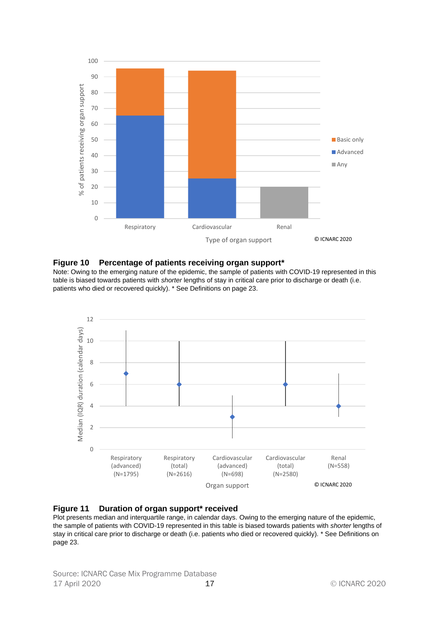

#### <span id="page-16-0"></span>**Figure 10 Percentage of patients receiving organ support\***

Note: Owing to the emerging nature of the epidemic, the sample of patients with COVID-19 represented in this table is biased towards patients with *shorter* lengths of stay in critical care prior to discharge or death (i.e. patients who died or recovered quickly). \* See Definitions on page [23.](#page-22-0)



<span id="page-16-1"></span>

Plot presents median and interquartile range, in calendar days. Owing to the emerging nature of the epidemic, the sample of patients with COVID-19 represented in this table is biased towards patients with *shorter* lengths of stay in critical care prior to discharge or death (i.e. patients who died or recovered quickly). \* See Definitions on page [23.](#page-22-0)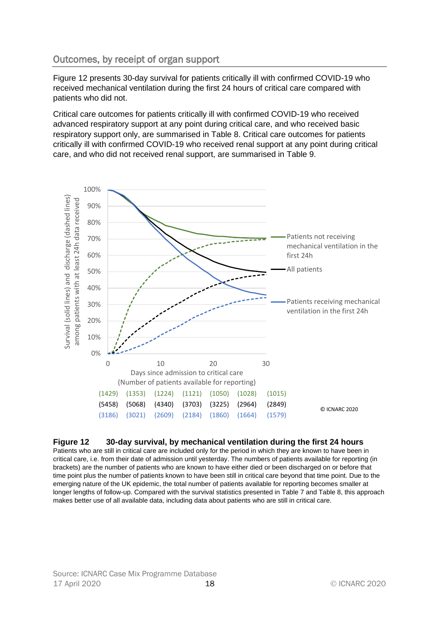# <span id="page-17-0"></span>Outcomes, by receipt of organ support

[Figure 12](#page-17-1) presents 30-day survival for patients critically ill with confirmed COVID-19 who received mechanical ventilation during the first 24 hours of critical care compared with patients who did not.

Critical care outcomes for patients critically ill with confirmed COVID-19 who received advanced respiratory support at any point during critical care, and who received basic respiratory support only, are summarised in [Table 8.](#page-18-0) Critical care outcomes for patients critically ill with confirmed COVID-19 who received renal support at any point during critical care, and who did not received renal support, are summarised in [Table 9.](#page-19-0)



#### <span id="page-17-1"></span>**Figure 12 30-day survival, by mechanical ventilation during the first 24 hours**

Patients who are still in critical care are included only for the period in which they are known to have been in critical care, i.e. from their date of admission until yesterday. The numbers of patients available for reporting (in brackets) are the number of patients who are known to have either died or been discharged on or before that time point plus the number of patients known to have been still in critical care beyond that time point. Due to the emerging nature of the UK epidemic, the total number of patients available for reporting becomes smaller at longer lengths of follow-up. Compared with the survival statistics presented in [Table 7](#page-15-0) and [Table 8,](#page-18-0) this approach makes better use of all available data, including data about patients who are still in critical care.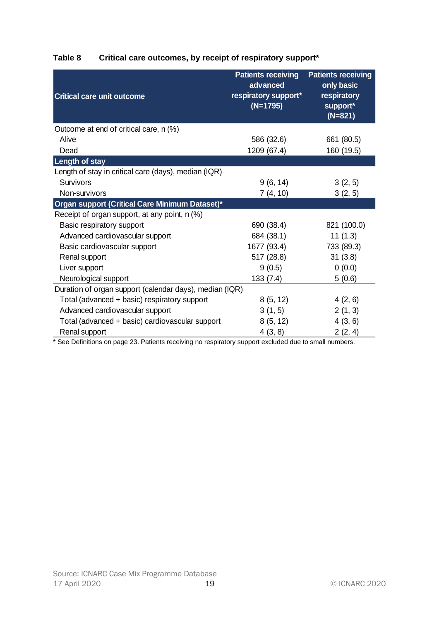<span id="page-18-0"></span>

| Table 8 | Critical care outcomes, by receipt of respiratory support* |  |  |  |
|---------|------------------------------------------------------------|--|--|--|
|         |                                                            |  |  |  |

| <b>Critical care unit outcome</b>                       | <b>Patients receiving</b><br>advanced<br>respiratory support*<br>$(N=1795)$ | <b>Patients receiving</b><br>only basic<br>respiratory<br>support*<br>$(N=821)$ |
|---------------------------------------------------------|-----------------------------------------------------------------------------|---------------------------------------------------------------------------------|
| Outcome at end of critical care, n (%)                  |                                                                             |                                                                                 |
| Alive                                                   | 586 (32.6)                                                                  | 661 (80.5)                                                                      |
| Dead                                                    | 1209 (67.4)                                                                 | 160 (19.5)                                                                      |
| <b>Length of stay</b>                                   |                                                                             |                                                                                 |
| Length of stay in critical care (days), median (IQR)    |                                                                             |                                                                                 |
| Survivors                                               | 9(6, 14)                                                                    | 3(2, 5)                                                                         |
| Non-survivors                                           | 7(4, 10)                                                                    | 3(2, 5)                                                                         |
| Organ support (Critical Care Minimum Dataset)*          |                                                                             |                                                                                 |
| Receipt of organ support, at any point, n (%)           |                                                                             |                                                                                 |
| Basic respiratory support                               | 690 (38.4)                                                                  | 821 (100.0)                                                                     |
| Advanced cardiovascular support                         | 684 (38.1)                                                                  | 11(1.3)                                                                         |
| Basic cardiovascular support                            | 1677 (93.4)                                                                 | 733 (89.3)                                                                      |
| Renal support                                           | 517 (28.8)                                                                  | 31(3.8)                                                                         |
| Liver support                                           | 9(0.5)                                                                      | 0(0.0)                                                                          |
| Neurological support                                    | 133(7.4)                                                                    | 5(0.6)                                                                          |
| Duration of organ support (calendar days), median (IQR) |                                                                             |                                                                                 |
| Total (advanced + basic) respiratory support            | 8(5, 12)                                                                    | 4(2, 6)                                                                         |
| Advanced cardiovascular support                         | 3(1, 5)                                                                     | 2(1, 3)                                                                         |
| Total (advanced + basic) cardiovascular support         | 8(5, 12)                                                                    | 4(3, 6)                                                                         |
| Renal support                                           | 4(3, 8)                                                                     | 2(2, 4)                                                                         |

\* See Definitions on page [23.](#page-22-0) Patients receiving no respiratory support excluded due to small numbers.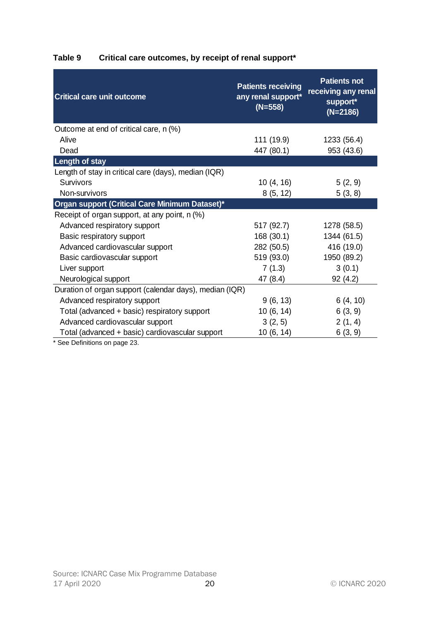| <b>Critical care unit outcome</b>                       | <b>Patients receiving</b><br>any renal support*<br>$(N=558)$ | <b>Patients not</b><br>receiving any renal<br>support*<br>$(N=2186)$ |
|---------------------------------------------------------|--------------------------------------------------------------|----------------------------------------------------------------------|
| Outcome at end of critical care, n (%)                  |                                                              |                                                                      |
| Alive                                                   | 111 (19.9)                                                   | 1233 (56.4)                                                          |
| Dead                                                    | 447 (80.1)                                                   | 953 (43.6)                                                           |
| <b>Length of stay</b>                                   |                                                              |                                                                      |
| Length of stay in critical care (days), median (IQR)    |                                                              |                                                                      |
| <b>Survivors</b>                                        | 10(4, 16)                                                    | 5(2, 9)                                                              |
| Non-survivors                                           | 8(5, 12)                                                     | 5(3, 8)                                                              |
| Organ support (Critical Care Minimum Dataset)*          |                                                              |                                                                      |
| Receipt of organ support, at any point, n (%)           |                                                              |                                                                      |
| Advanced respiratory support                            | 517 (92.7)                                                   | 1278 (58.5)                                                          |
| Basic respiratory support                               | 168 (30.1)                                                   | 1344 (61.5)                                                          |
| Advanced cardiovascular support                         | 282 (50.5)                                                   | 416 (19.0)                                                           |
| Basic cardiovascular support                            | 519 (93.0)                                                   | 1950 (89.2)                                                          |
| Liver support                                           | 7(1.3)                                                       | 3(0.1)                                                               |
| Neurological support                                    | 47 (8.4)                                                     | 92 (4.2)                                                             |
| Duration of organ support (calendar days), median (IQR) |                                                              |                                                                      |
| Advanced respiratory support                            | 9(6, 13)                                                     | 6(4, 10)                                                             |
| Total (advanced + basic) respiratory support            | 10(6, 14)                                                    | 6(3, 9)                                                              |
| Advanced cardiovascular support                         | 3(2, 5)                                                      | 2(1, 4)                                                              |
| Total (advanced + basic) cardiovascular support         | 10(6, 14)                                                    | 6(3, 9)                                                              |

# <span id="page-19-0"></span>**Table 9 Critical care outcomes, by receipt of renal support\***

\* See Definitions on page [23.](#page-22-0)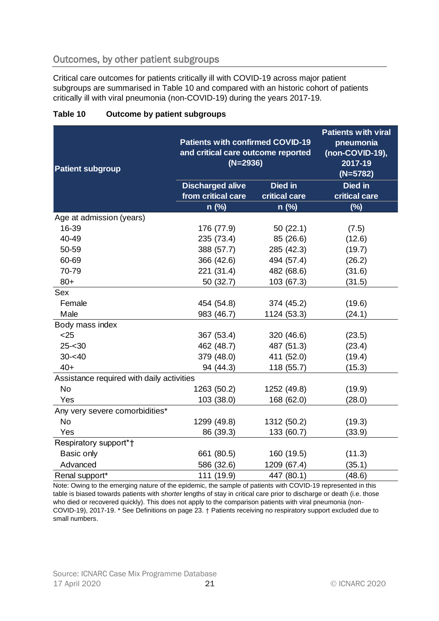# <span id="page-20-0"></span>Outcomes, by other patient subgroups

Critical care outcomes for patients critically ill with COVID-19 across major patient subgroups are summarised in [Table 10](#page-20-1) and compared with an historic cohort of patients critically ill with viral pneumonia (non-COVID-19) during the years 2017-19.

| <b>Patient subgroup</b>                   | <b>Patients with confirmed COVID-19</b><br>and critical care outcome reported<br>$(N=2936)$ | <b>Patients with viral</b><br>pneumonia<br>(non-COVID-19),<br>2017-19<br>$(N=5782)$ |                          |  |
|-------------------------------------------|---------------------------------------------------------------------------------------------|-------------------------------------------------------------------------------------|--------------------------|--|
|                                           | <b>Discharged alive</b><br>from critical care                                               | Died in<br>critical care                                                            | Died in<br>critical care |  |
|                                           | n (%)                                                                                       | n (%)                                                                               | (%)                      |  |
| Age at admission (years)                  |                                                                                             |                                                                                     |                          |  |
| 16-39                                     | 176 (77.9)                                                                                  | 50(22.1)                                                                            | (7.5)                    |  |
| 40-49                                     | 235 (73.4)                                                                                  | 85 (26.6)                                                                           | (12.6)                   |  |
| 50-59                                     | 388 (57.7)                                                                                  | 285 (42.3)                                                                          | (19.7)                   |  |
| 60-69                                     | 366 (42.6)                                                                                  | 494 (57.4)                                                                          | (26.2)                   |  |
| 70-79                                     | 221 (31.4)                                                                                  | 482 (68.6)                                                                          | (31.6)                   |  |
| $80+$                                     | 50 (32.7)                                                                                   | 103 (67.3)                                                                          | (31.5)                   |  |
| Sex                                       |                                                                                             |                                                                                     |                          |  |
| Female                                    | 454 (54.8)                                                                                  | 374 (45.2)                                                                          | (19.6)                   |  |
| Male                                      | 983 (46.7)                                                                                  | 1124 (53.3)                                                                         | (24.1)                   |  |
| Body mass index                           |                                                                                             |                                                                                     |                          |  |
| $25$                                      | 367 (53.4)                                                                                  | 320 (46.6)                                                                          | (23.5)                   |  |
| $25 - 30$                                 | 462 (48.7)                                                                                  | 487 (51.3)                                                                          | (23.4)                   |  |
| $30 - 40$                                 | 379 (48.0)                                                                                  | 411 (52.0)                                                                          | (19.4)                   |  |
| $40+$                                     | 94 (44.3)                                                                                   | 118 (55.7)                                                                          | (15.3)                   |  |
| Assistance required with daily activities |                                                                                             |                                                                                     |                          |  |
| <b>No</b>                                 | 1263 (50.2)                                                                                 | 1252 (49.8)                                                                         | (19.9)                   |  |
| Yes                                       | 103 (38.0)                                                                                  | 168 (62.0)                                                                          | (28.0)                   |  |
| Any very severe comorbidities*            |                                                                                             |                                                                                     |                          |  |
| <b>No</b>                                 | 1299 (49.8)                                                                                 | 1312 (50.2)                                                                         | (19.3)                   |  |
| Yes                                       | 86 (39.3)                                                                                   | 133 (60.7)                                                                          | (33.9)                   |  |
| Respiratory support*†                     |                                                                                             |                                                                                     |                          |  |
| Basic only                                | 661 (80.5)                                                                                  | 160 (19.5)                                                                          | (11.3)                   |  |
| Advanced                                  | 586 (32.6)                                                                                  | 1209 (67.4)                                                                         | (35.1)                   |  |
| Renal support*                            | 111 (19.9)                                                                                  | 447 (80.1)                                                                          | (48.6)                   |  |

### <span id="page-20-1"></span>**Table 10 Outcome by patient subgroups**

Note: Owing to the emerging nature of the epidemic, the sample of patients with COVID-19 represented in this table is biased towards patients with *shorter* lengths of stay in critical care prior to discharge or death (i.e. those who died or recovered quickly). This does not apply to the comparison patients with viral pneumonia (non-COVID-19), 2017-19. \* See Definitions on page [23.](#page-22-0) † Patients receiving no respiratory support excluded due to small numbers.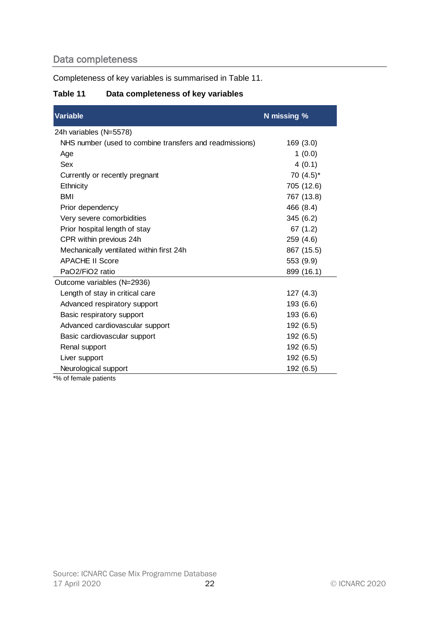# <span id="page-21-0"></span>Data completeness

Completeness of key variables is summarised in [Table 11.](#page-21-1)

### <span id="page-21-1"></span>**Table 11 Data completeness of key variables**

| <b>Variable</b>                                         | N missing %  |
|---------------------------------------------------------|--------------|
| 24h variables (N=5578)                                  |              |
| NHS number (used to combine transfers and readmissions) | 169(3.0)     |
| Age                                                     | 1(0.0)       |
| Sex                                                     | 4(0.1)       |
| Currently or recently pregnant                          | 70 $(4.5)^*$ |
| Ethnicity                                               | 705 (12.6)   |
| <b>BMI</b>                                              | 767 (13.8)   |
| Prior dependency                                        | 466 (8.4)    |
| Very severe comorbidities                               | 345(6.2)     |
| Prior hospital length of stay                           | 67(1.2)      |
| CPR within previous 24h                                 | 259 (4.6)    |
| Mechanically ventilated within first 24h                | 867 (15.5)   |
| <b>APACHE II Score</b>                                  | 553 (9.9)    |
| PaO2/FiO2 ratio                                         | 899 (16.1)   |
| Outcome variables (N=2936)                              |              |
| Length of stay in critical care                         | 127(4.3)     |
| Advanced respiratory support                            | 193 (6.6)    |
| Basic respiratory support                               | 193 (6.6)    |
| Advanced cardiovascular support                         | 192 (6.5)    |
| Basic cardiovascular support                            | 192 (6.5)    |
| Renal support                                           | 192 (6.5)    |
| Liver support                                           | 192 (6.5)    |
| Neurological support<br>$*01 - 11 - 1 - 1 - 11 - 1$     | 192 (6.5)    |

\*% of female patients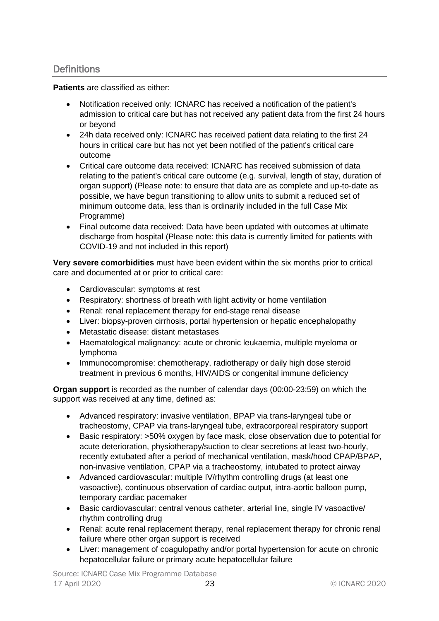### <span id="page-22-0"></span>**Definitions**

**Patients** are classified as either:

- Notification received only: ICNARC has received a notification of the patient's admission to critical care but has not received any patient data from the first 24 hours or beyond
- 24h data received only: ICNARC has received patient data relating to the first 24 hours in critical care but has not yet been notified of the patient's critical care outcome
- Critical care outcome data received: ICNARC has received submission of data relating to the patient's critical care outcome (e.g. survival, length of stay, duration of organ support) (Please note: to ensure that data are as complete and up-to-date as possible, we have begun transitioning to allow units to submit a reduced set of minimum outcome data, less than is ordinarily included in the full Case Mix Programme)
- Final outcome data received: Data have been updated with outcomes at ultimate discharge from hospital (Please note: this data is currently limited for patients with COVID-19 and not included in this report)

**Very severe comorbidities** must have been evident within the six months prior to critical care and documented at or prior to critical care:

- Cardiovascular: symptoms at rest
- Respiratory: shortness of breath with light activity or home ventilation
- Renal: renal replacement therapy for end-stage renal disease
- Liver: biopsy-proven cirrhosis, portal hypertension or hepatic encephalopathy
- Metastatic disease: distant metastases
- Haematological malignancy: acute or chronic leukaemia, multiple myeloma or lymphoma
- Immunocompromise: chemotherapy, radiotherapy or daily high dose steroid treatment in previous 6 months, HIV/AIDS or congenital immune deficiency

**Organ support** is recorded as the number of calendar days (00:00-23:59) on which the support was received at any time, defined as:

- Advanced respiratory: invasive ventilation, BPAP via trans-laryngeal tube or tracheostomy, CPAP via trans-laryngeal tube, extracorporeal respiratory support
- Basic respiratory: >50% oxygen by face mask, close observation due to potential for acute deterioration, physiotherapy/suction to clear secretions at least two-hourly, recently extubated after a period of mechanical ventilation, mask/hood CPAP/BPAP, non-invasive ventilation, CPAP via a tracheostomy, intubated to protect airway
- Advanced cardiovascular: multiple IV/rhythm controlling drugs (at least one vasoactive), continuous observation of cardiac output, intra-aortic balloon pump, temporary cardiac pacemaker
- Basic cardiovascular: central venous catheter, arterial line, single IV vasoactive/ rhythm controlling drug
- Renal: acute renal replacement therapy, renal replacement therapy for chronic renal failure where other organ support is received
- Liver: management of coagulopathy and/or portal hypertension for acute on chronic hepatocellular failure or primary acute hepatocellular failure